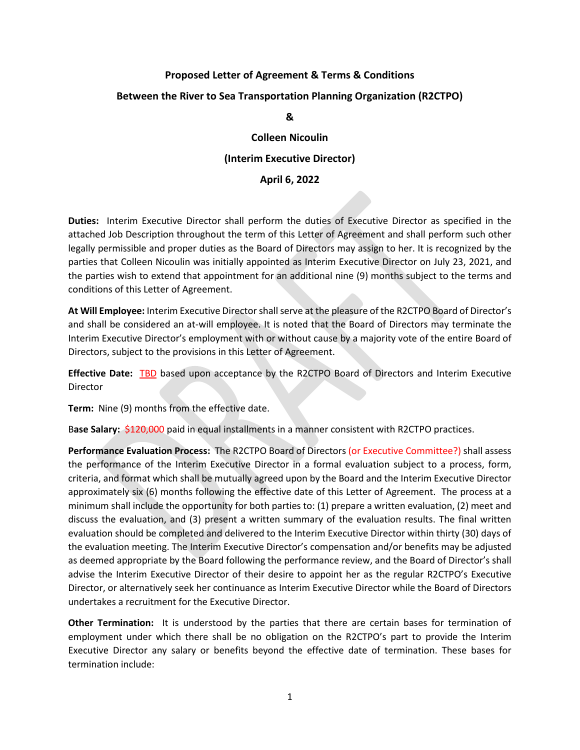## **Proposed Letter of Agreement & Terms & Conditions Between the River to Sea Transportation Planning Organization (R2CTPO)**

## **&**

## **Colleen Nicoulin (Interim Executive Director)**

## **April 6, 2022**

**Duties:** Interim Executive Director shall perform the duties of Executive Director as specified in the attached Job Description throughout the term of this Letter of Agreement and shall perform such other legally permissible and proper duties as the Board of Directors may assign to her. It is recognized by the parties that Colleen Nicoulin was initially appointed as Interim Executive Director on July 23, 2021, and the parties wish to extend that appointment for an additional nine (9) months subject to the terms and conditions of this Letter of Agreement.

**At Will Employee:** Interim Executive Directorshall serve at the pleasure of the R2CTPO Board of Director's and shall be considered an at-will employee. It is noted that the Board of Directors may terminate the Interim Executive Director's employment with or without cause by a majority vote of the entire Board of Directors, subject to the provisions in this Letter of Agreement.

**Effective Date:** TBD based upon acceptance by the R2CTPO Board of Directors and Interim Executive Director

**Term:** Nine (9) months from the effective date.

B**ase Salary:** \$120,000 paid in equal installments in a manner consistent with R2CTPO practices.

**Performance Evaluation Process:** The R2CTPO Board of Directors (or Executive Committee?) shall assess the performance of the Interim Executive Director in a formal evaluation subject to a process, form, criteria, and format which shall be mutually agreed upon by the Board and the Interim Executive Director approximately six (6) months following the effective date of this Letter of Agreement. The process at a minimum shall include the opportunity for both parties to: (1) prepare a written evaluation, (2) meet and discuss the evaluation, and (3) present a written summary of the evaluation results. The final written evaluation should be completed and delivered to the Interim Executive Director within thirty (30) days of the evaluation meeting. The Interim Executive Director's compensation and/or benefits may be adjusted as deemed appropriate by the Board following the performance review, and the Board of Director's shall advise the Interim Executive Director of their desire to appoint her as the regular R2CTPO's Executive Director, or alternatively seek her continuance as Interim Executive Director while the Board of Directors undertakes a recruitment for the Executive Director.

**Other Termination:** It is understood by the parties that there are certain bases for termination of employment under which there shall be no obligation on the R2CTPO's part to provide the Interim Executive Director any salary or benefits beyond the effective date of termination. These bases for termination include: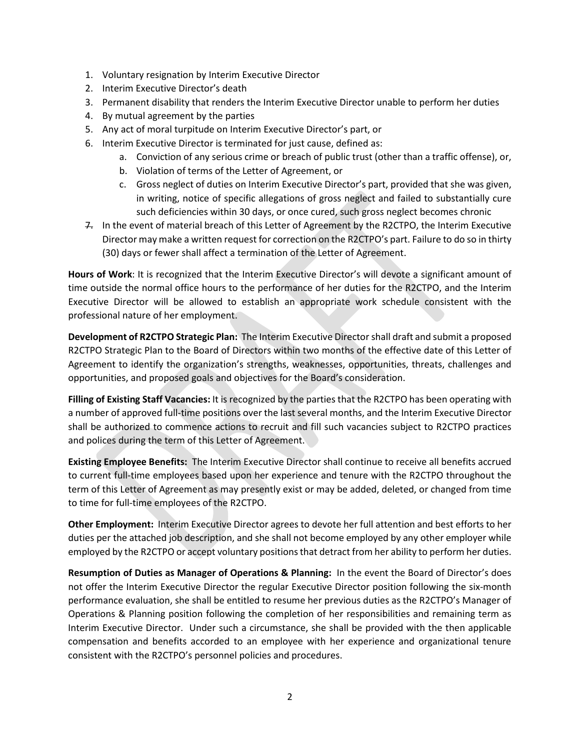- 1. Voluntary resignation by Interim Executive Director
- 2. Interim Executive Director's death
- 3. Permanent disability that renders the Interim Executive Director unable to perform her duties
- 4. By mutual agreement by the parties
- 5. Any act of moral turpitude on Interim Executive Director's part, or
- 6. Interim Executive Director is terminated for just cause, defined as:
	- a. Conviction of any serious crime or breach of public trust (other than a traffic offense), or,
	- b. Violation of terms of the Letter of Agreement, or
	- c. Gross neglect of duties on Interim Executive Director's part, provided that she was given, in writing, notice of specific allegations of gross neglect and failed to substantially cure such deficiencies within 30 days, or once cured, such gross neglect becomes chronic
- 7. In the event of material breach of this Letter of Agreement by the R2CTPO, the Interim Executive Director may make a written request for correction on the R2CTPO's part. Failure to do so in thirty (30) days or fewer shall affect a termination of the Letter of Agreement.

**Hours of Work**: It is recognized that the Interim Executive Director's will devote a significant amount of time outside the normal office hours to the performance of her duties for the R2CTPO, and the Interim Executive Director will be allowed to establish an appropriate work schedule consistent with the professional nature of her employment.

**Development of R2CTPO Strategic Plan:** The Interim Executive Director shall draft and submit a proposed R2CTPO Strategic Plan to the Board of Directors within two months of the effective date of this Letter of Agreement to identify the organization's strengths, weaknesses, opportunities, threats, challenges and opportunities, and proposed goals and objectives for the Board's consideration.

**Filling of Existing Staff Vacancies:** It is recognized by the parties that the R2CTPO has been operating with a number of approved full-time positions over the last several months, and the Interim Executive Director shall be authorized to commence actions to recruit and fill such vacancies subject to R2CTPO practices and polices during the term of this Letter of Agreement.

**Existing Employee Benefits:** The Interim Executive Director shall continue to receive all benefits accrued to current full-time employees based upon her experience and tenure with the R2CTPO throughout the term of this Letter of Agreement as may presently exist or may be added, deleted, or changed from time to time for full-time employees of the R2CTPO.

**Other Employment:** Interim Executive Director agrees to devote her full attention and best efforts to her duties per the attached job description, and she shall not become employed by any other employer while employed by the R2CTPO or accept voluntary positions that detract from her ability to perform her duties.

**Resumption of Duties as Manager of Operations & Planning:** In the event the Board of Director's does not offer the Interim Executive Director the regular Executive Director position following the six-month performance evaluation, she shall be entitled to resume her previous duties as the R2CTPO's Manager of Operations & Planning position following the completion of her responsibilities and remaining term as Interim Executive Director. Under such a circumstance, she shall be provided with the then applicable compensation and benefits accorded to an employee with her experience and organizational tenure consistent with the R2CTPO's personnel policies and procedures.